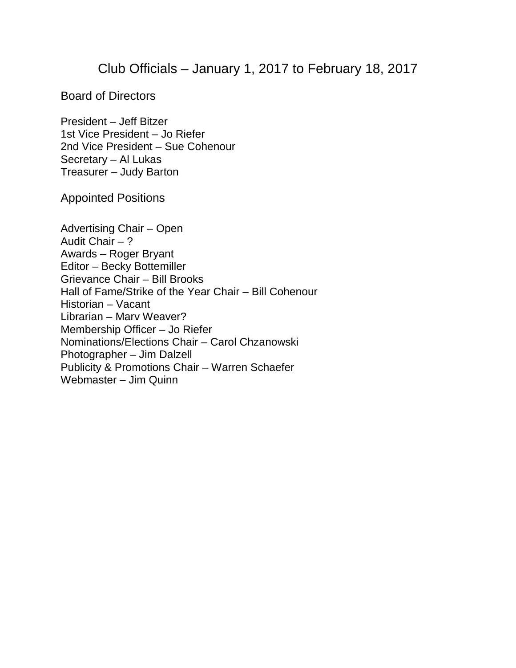## Club Officials – January 1, 2017 to February 18, 2017

Board of Directors

President – Jeff Bitzer 1st Vice President – Jo Riefer 2nd Vice President – Sue Cohenour Secretary – Al Lukas Treasurer – Judy Barton

Appointed Positions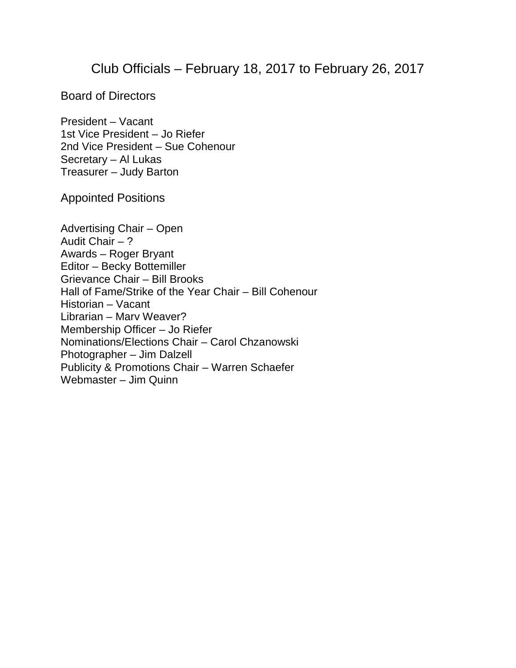## Club Officials – February 18, 2017 to February 26, 2017

Board of Directors

President – Vacant 1st Vice President – Jo Riefer 2nd Vice President – Sue Cohenour Secretary – Al Lukas Treasurer – Judy Barton

Appointed Positions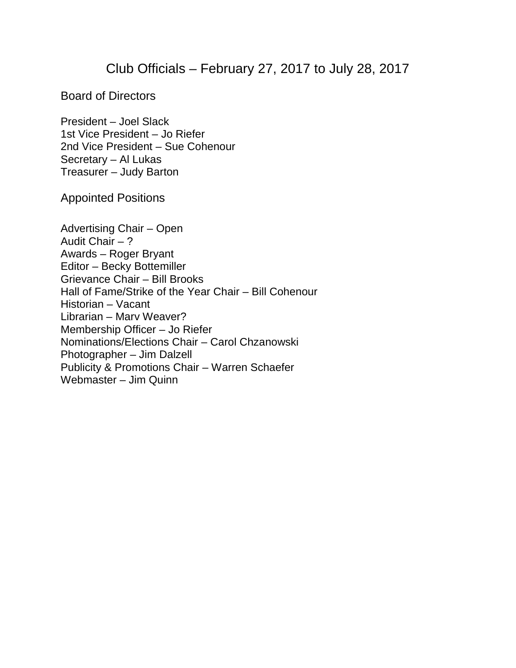## Club Officials – February 27, 2017 to July 28, 2017

Board of Directors

President – Joel Slack 1st Vice President – Jo Riefer 2nd Vice President – Sue Cohenour Secretary – Al Lukas Treasurer – Judy Barton

Appointed Positions